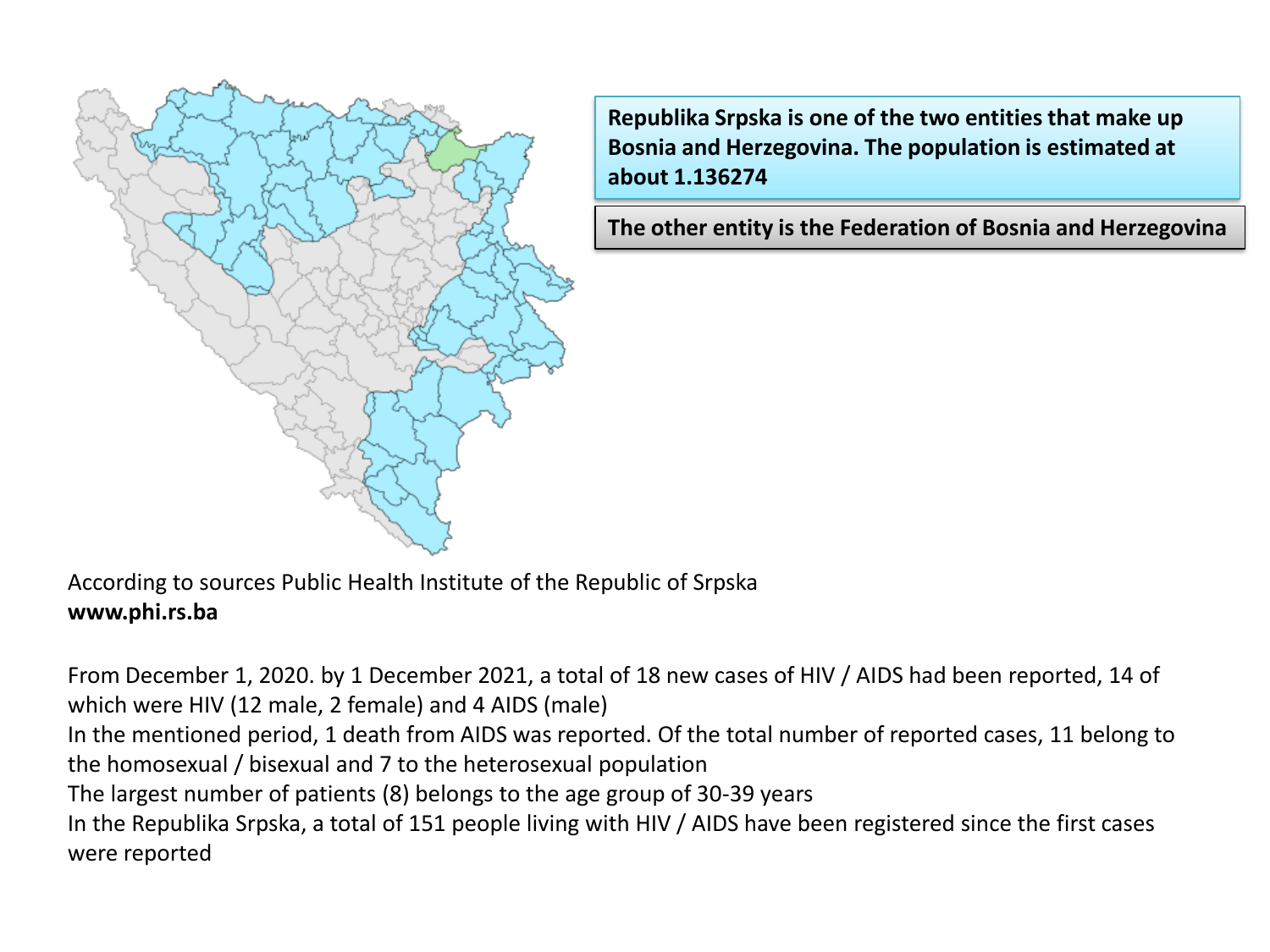

**Republika Srpska is one of the two entities that make up Bosnia and Herzegovina. The population is estimated at about 1.136274**

**The other entity is the Federation of Bosnia and Herzegovina**

According to sources Public Health Institute of the Republic of Srpska **www.phi.rs.ba**

From December 1, 2020. by 1 December 2021, a total of 18 new cases of HIV / AIDS had been reported, 14 of which were HIV (12 male, 2 female) and 4 AIDS (male)

In the mentioned period, 1 death from AIDS was reported. Of the total number of reported cases, 11 belong to the homosexual / bisexual and 7 to the heterosexual population

The largest number of patients (8) belongs to the age group of 30-39 years

In the Republika Srpska, a total of 151 people living with HIV / AIDS have been registered since the first cases were reported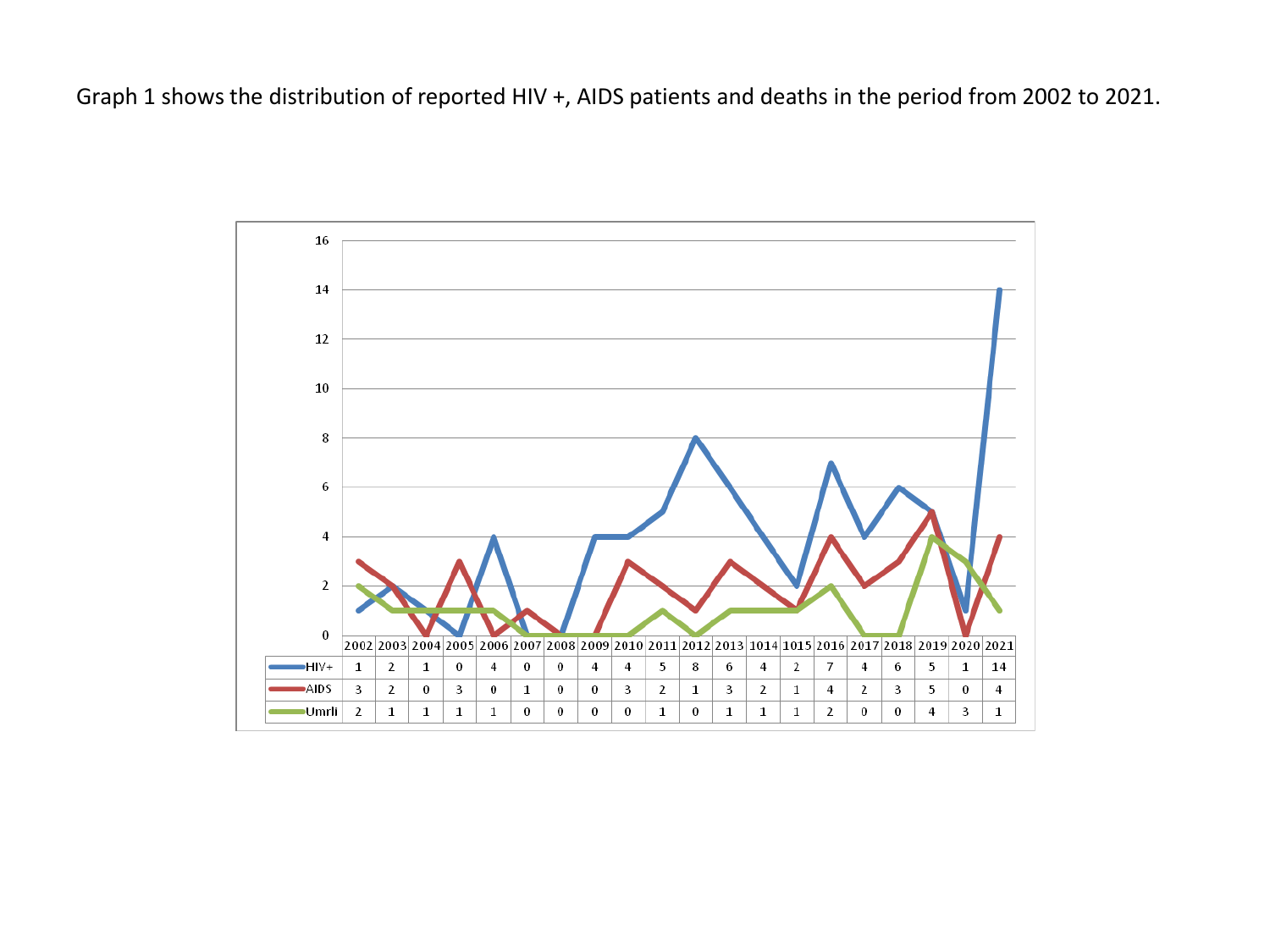Graph 1 shows the distribution of reported HIV +, AIDS patients and deaths in the period from 2002 to 2021.

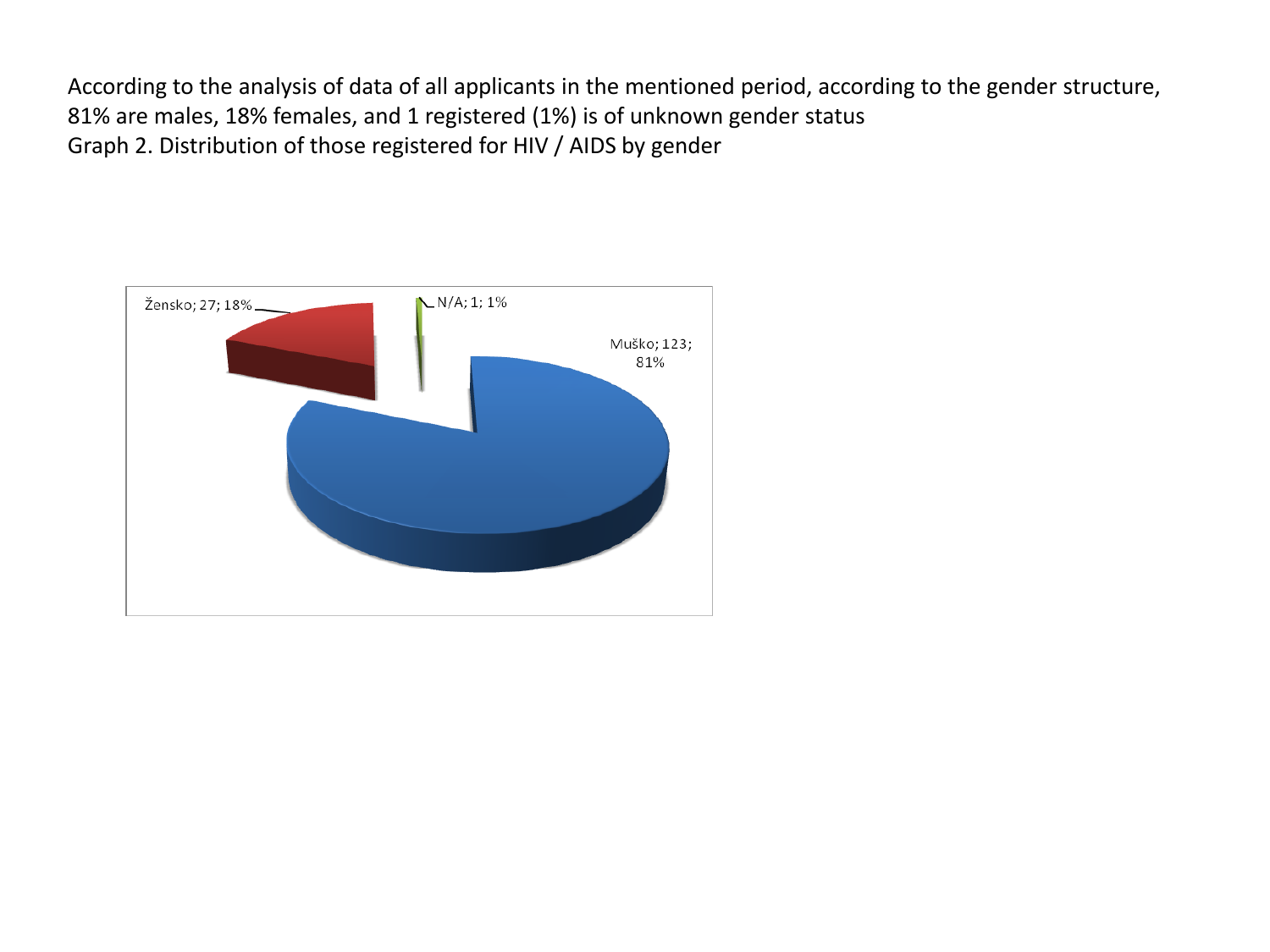According to the analysis of data of all applicants in the mentioned period, according to the gender structure, 81% are males, 18% females, and 1 registered (1%) is of unknown gender status Graph 2. Distribution of those registered for HIV / AIDS by gender

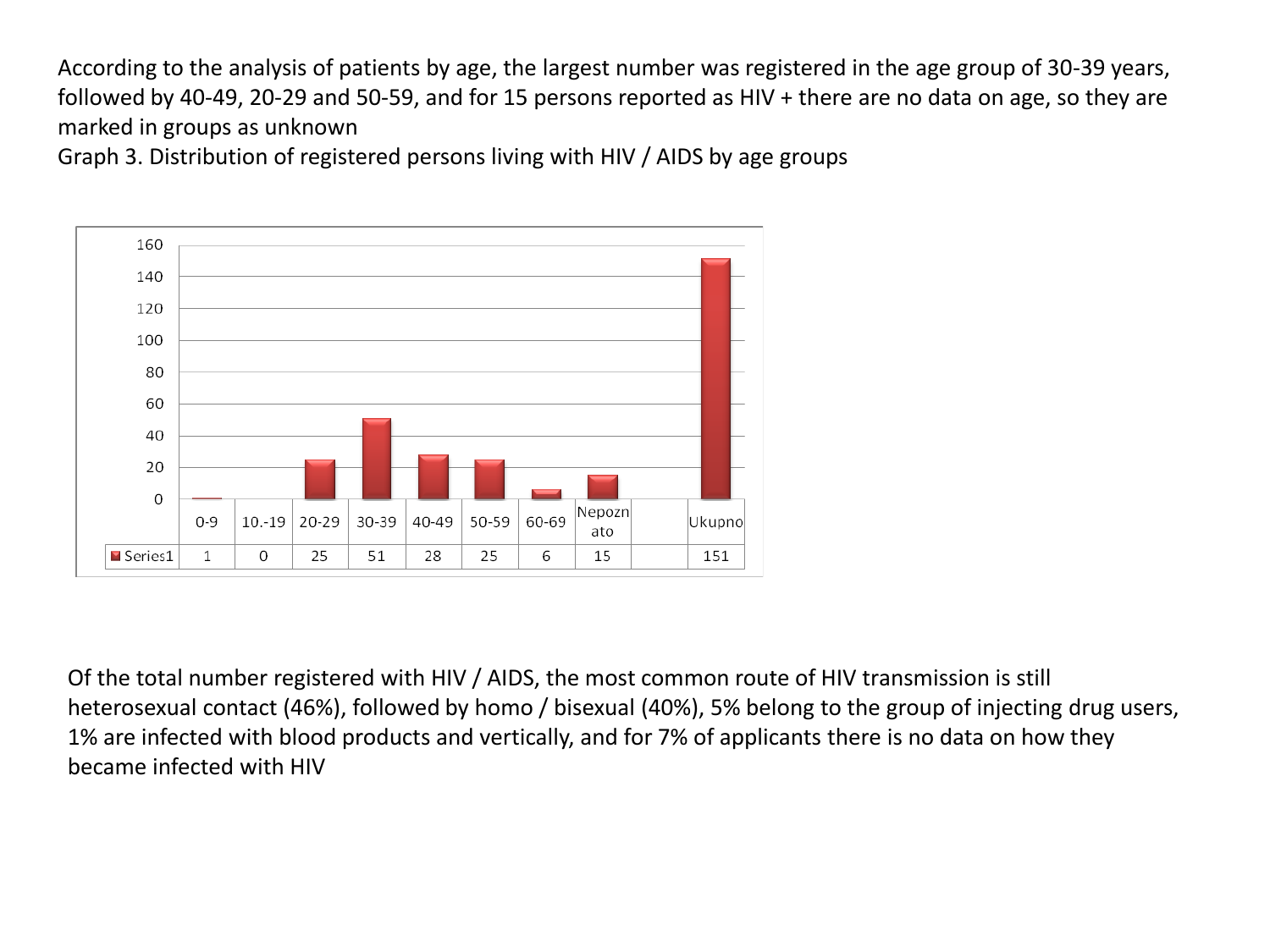According to the analysis of patients by age, the largest number was registered in the age group of 30-39 years, followed by 40-49, 20-29 and 50-59, and for 15 persons reported as HIV + there are no data on age, so they are marked in groups as unknown

Graph 3. Distribution of registered persons living with HIV / AIDS by age groups



Of the total number registered with HIV / AIDS, the most common route of HIV transmission is still heterosexual contact (46%), followed by homo / bisexual (40%), 5% belong to the group of injecting drug users, 1% are infected with blood products and vertically, and for 7% of applicants there is no data on how they became infected with HIV